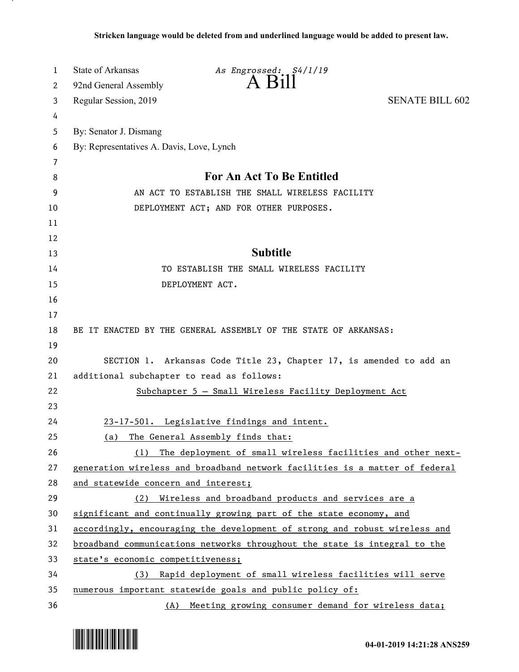| 1  | <b>State of Arkansas</b><br>As Engrossed: S4/1/19                           |  |
|----|-----------------------------------------------------------------------------|--|
| 2  | $A$ $B11$<br>92nd General Assembly                                          |  |
| 3  | <b>SENATE BILL 602</b><br>Regular Session, 2019                             |  |
| 4  |                                                                             |  |
| 5  | By: Senator J. Dismang                                                      |  |
| 6  | By: Representatives A. Davis, Love, Lynch                                   |  |
| 7  |                                                                             |  |
| 8  | <b>For An Act To Be Entitled</b>                                            |  |
| 9  | AN ACT TO ESTABLISH THE SMALL WIRELESS FACILITY                             |  |
| 10 | DEPLOYMENT ACT; AND FOR OTHER PURPOSES.                                     |  |
| 11 |                                                                             |  |
| 12 |                                                                             |  |
| 13 | <b>Subtitle</b>                                                             |  |
| 14 | TO ESTABLISH THE SMALL WIRELESS FACILITY                                    |  |
| 15 | DEPLOYMENT ACT.                                                             |  |
| 16 |                                                                             |  |
| 17 |                                                                             |  |
| 18 | BE IT ENACTED BY THE GENERAL ASSEMBLY OF THE STATE OF ARKANSAS:             |  |
| 19 |                                                                             |  |
| 20 | SECTION 1. Arkansas Code Title 23, Chapter 17, is amended to add an         |  |
| 21 | additional subchapter to read as follows:                                   |  |
| 22 | Subchapter 5 - Small Wireless Facility Deployment Act                       |  |
| 23 |                                                                             |  |
| 24 | 23-17-501. Legislative findings and intent.                                 |  |
| 25 | The General Assembly finds that:<br>(a)                                     |  |
| 26 | (1) The deployment of small wireless facilities and other next-             |  |
| 27 | generation wireless and broadband network facilities is a matter of federal |  |
| 28 | and statewide concern and interest;                                         |  |
| 29 | Wireless and broadband products and services are a<br>(2)                   |  |
| 30 | significant and continually growing part of the state economy, and          |  |
| 31 | accordingly, encouraging the development of strong and robust wireless and  |  |
| 32 | broadband communications networks throughout the state is integral to the   |  |
| 33 | state's economic competitiveness;                                           |  |
| 34 | (3) Rapid deployment of small wireless facilities will serve                |  |
| 35 | numerous important statewide goals and public policy of:                    |  |
| 36 | (A) Meeting growing consumer demand for wireless data;                      |  |

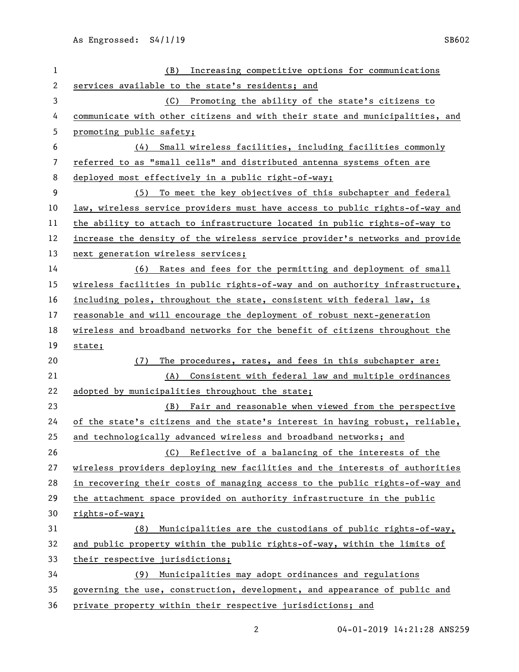| $\mathbf{1}$ | (B) Increasing competitive options for communications                        |
|--------------|------------------------------------------------------------------------------|
| 2            | services available to the state's residents; and                             |
| 3            | (C) Promoting the ability of the state's citizens to                         |
| 4            | communicate with other citizens and with their state and municipalities, and |
| 5            | promoting public safety;                                                     |
| 6            | (4) Small wireless facilities, including facilities commonly                 |
| 7            | referred to as "small cells" and distributed antenna systems often are       |
| 8            | deployed most effectively in a public right-of-way;                          |
| 9            | (5) To meet the key objectives of this subchapter and federal                |
| 10           | law, wireless service providers must have access to public rights-of-way and |
| 11           | the ability to attach to infrastructure located in public rights-of-way to   |
| 12           | increase the density of the wireless service provider's networks and provide |
| 13           | next generation wireless services;                                           |
| 14           | (6) Rates and fees for the permitting and deployment of small                |
| 15           | wireless facilities in public rights-of-way and on authority infrastructure, |
| 16           | including poles, throughout the state, consistent with federal law, is       |
| 17           | reasonable and will encourage the deployment of robust next-generation       |
| 18           | wireless and broadband networks for the benefit of citizens throughout the   |
| 19           | state;                                                                       |
| 20           | The procedures, rates, and fees in this subchapter are:<br>(7)               |
| 21           | Consistent with federal law and multiple ordinances<br>(A)                   |
| 22           | adopted by municipalities throughout the state;                              |
| 23           | Fair and reasonable when viewed from the perspective<br>(B)                  |
| 24           | of the state's citizens and the state's interest in having robust, reliable, |
| 25           | and technologically advanced wireless and broadband networks; and            |
| 26           | (C) Reflective of a balancing of the interests of the                        |
| 27           | wireless providers deploying new facilities and the interests of authorities |
| 28           | in recovering their costs of managing access to the public rights-of-way and |
| 29           | the attachment space provided on authority infrastructure in the public      |
| 30           | rights-of-way;                                                               |
| 31           | Municipalities are the custodians of public rights-of-way,<br>(8)            |
| 32           | and public property within the public rights-of-way, within the limits of    |
| 33           | their respective jurisdictions;                                              |
| 34           | (9) Municipalities may adopt ordinances and regulations                      |
| 35           | governing the use, construction, development, and appearance of public and   |
|              |                                                                              |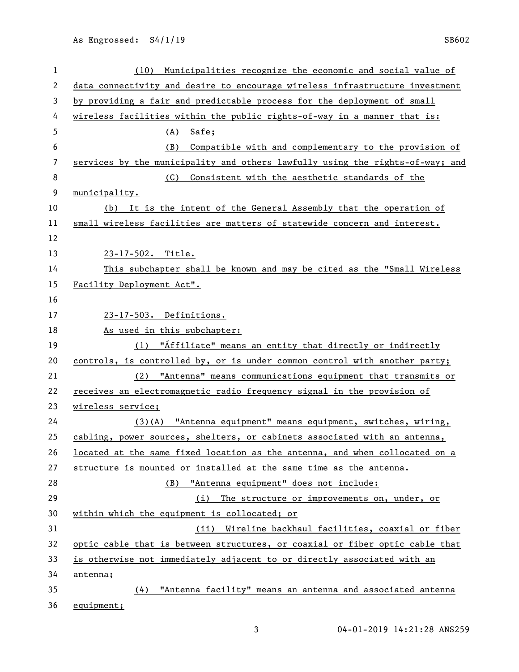| 1              | Municipalities recognize the economic and social value of<br>(10)             |
|----------------|-------------------------------------------------------------------------------|
| 2              | data connectivity and desire to encourage wireless infrastructure investment  |
| 3              | by providing a fair and predictable process for the deployment of small       |
| 4              | wireless facilities within the public rights-of-way in a manner that is:      |
| 5              | (A)<br>Safe;                                                                  |
| 6              | Compatible with and complementary to the provision of<br>(B)                  |
| $\overline{7}$ | services by the municipality and others lawfully using the rights-of-way; and |
| 8              | Consistent with the aesthetic standards of the<br>(C)                         |
| 9              | municipality.                                                                 |
| 10             | (b) It is the intent of the General Assembly that the operation of            |
| 11             | small wireless facilities are matters of statewide concern and interest.      |
| 12             |                                                                               |
| 13             | 23-17-502. Title.                                                             |
| 14             | This subchapter shall be known and may be cited as the "Small Wireless        |
| 15             | Facility Deployment Act".                                                     |
| 16             |                                                                               |
| 17             | 23-17-503. Definitions.                                                       |
| 18             | As used in this subchapter:                                                   |
| 19             | (1) "Affiliate" means an entity that directly or indirectly                   |
| 20             | controls, is controlled by, or is under common control with another party;    |
| 21             | (2) "Antenna" means communications equipment that transmits or                |
| 22             | receives an electromagnetic radio frequency signal in the provision of        |
| 23             | wireless service;                                                             |
| 24             | (3)(A) "Antenna equipment" means equipment, switches, wiring,                 |
| 25             | cabling, power sources, shelters, or cabinets associated with an antenna,     |
| 26             | located at the same fixed location as the antenna, and when collocated on a   |
| 27             | structure is mounted or installed at the same time as the antenna.            |
| 28             | "Antenna equipment" does not include:<br>(B)                                  |
| 29             | The structure or improvements on, under, or<br>(i)                            |
| 30             | within which the equipment is collocated; or                                  |
| 31             | (ii) Wireline backhaul facilities, coaxial or fiber                           |
| 32             | optic cable that is between structures, or coaxial or fiber optic cable that  |
| 33             | is otherwise not immediately adjacent to or directly associated with an       |
| 34             | antenna;                                                                      |
| 35             | "Antenna facility" means an antenna and associated antenna<br>(4)             |
| 36             | equipment;                                                                    |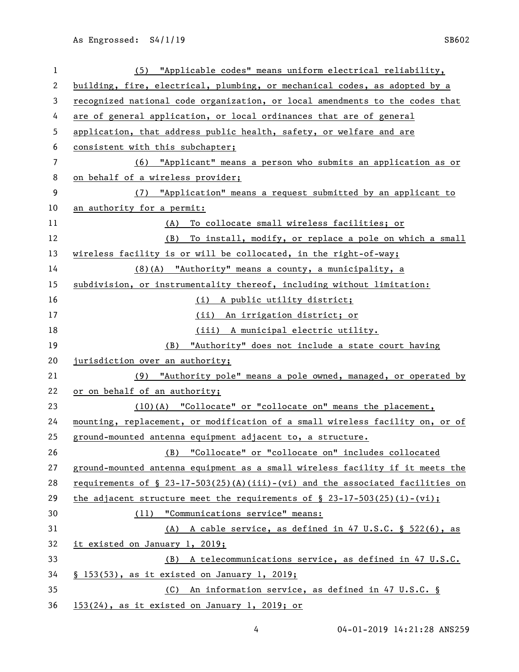| 1  | (5) "Applicable codes" means uniform electrical reliability,                     |
|----|----------------------------------------------------------------------------------|
| 2  | building, fire, electrical, plumbing, or mechanical codes, as adopted by a       |
| 3  | recognized national code organization, or local amendments to the codes that     |
| 4  | are of general application, or local ordinances that are of general              |
| 5  | application, that address public health, safety, or welfare and are              |
| 6  | consistent with this subchapter;                                                 |
| 7  | (6) "Applicant" means a person who submits an application as or                  |
| 8  | on behalf of a wireless provider;                                                |
| 9  | (7) "Application" means a request submitted by an applicant to                   |
| 10 | an authority for a permit:                                                       |
| 11 | (A) To collocate small wireless facilities; or                                   |
| 12 | (B) To install, modify, or replace a pole on which a small                       |
| 13 | wireless facility is or will be collocated, in the right-of-way;                 |
| 14 | (8)(A) "Authority" means a county, a municipality, a                             |
| 15 | subdivision, or instrumentality thereof, including without limitation:           |
| 16 | (i) A public utility district;                                                   |
| 17 | (ii) An irrigation district; or                                                  |
| 18 | (iii) A municipal electric utility.                                              |
| 19 | (B) "Authority" does not include a state court having                            |
| 20 | jurisdiction over an authority;                                                  |
| 21 | (9) "Authority pole" means a pole owned, managed, or operated by                 |
| 22 | or on behalf of an authority;                                                    |
| 23 | $(10)(A)$ "Collocate" or "collocate on" means the placement,                     |
| 24 | mounting, replacement, or modification of a small wireless facility on, or of    |
| 25 | ground-mounted antenna equipment adjacent to, a structure.                       |
| 26 | (B) "Collocate" or "collocate on" includes collocated                            |
| 27 | ground-mounted antenna equipment as a small wireless facility if it meets the    |
| 28 | requirements of $\S$ 23-17-503(25)(A)(iii)-(vi) and the associated facilities on |
| 29 | the adjacent structure meet the requirements of $\S$ 23-17-503(25)(i)-(vi);      |
| 30 | (11) "Communications service" means:                                             |
| 31 | (A) A cable service, as defined in 47 U.S.C. § 522(6), as                        |
| 32 | it existed on January 1, 2019;                                                   |
| 33 | (B) A telecommunications service, as defined in 47 U.S.C.                        |
| 34 | § 153(53), as it existed on January 1, 2019;                                     |
| 35 | (C) An information service, as defined in 47 U.S.C. §                            |
| 36 | 153(24), as it existed on January 1, 2019; or                                    |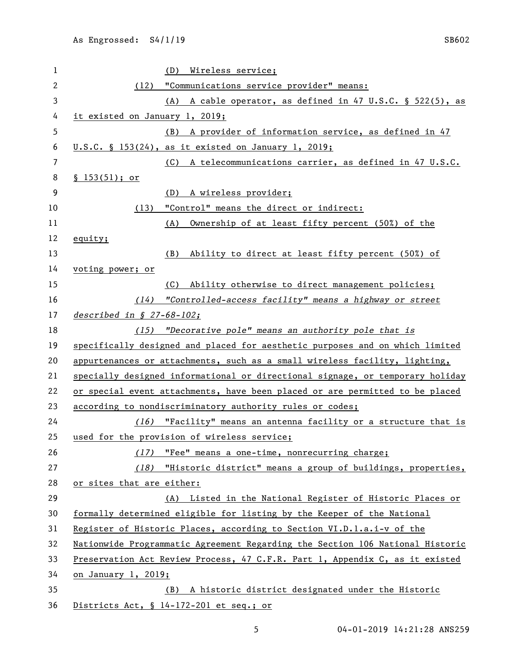| 1              |                                | (D) Wireless service;                                                         |  |
|----------------|--------------------------------|-------------------------------------------------------------------------------|--|
| $\overline{c}$ |                                | (12) "Communications service provider" means:                                 |  |
| 3              |                                | (A) A cable operator, as defined in 47 U.S.C. § 522(5), as                    |  |
| 4              | it existed on January 1, 2019; |                                                                               |  |
| 5              |                                | (B) A provider of information service, as defined in 47                       |  |
| 6              |                                | <u>U.S.C. § 153(24), as it existed on January 1, 2019;</u>                    |  |
| 7              |                                | (C) A telecommunications carrier, as defined in 47 U.S.C.                     |  |
| 8              | \$153(51); or                  |                                                                               |  |
| 9              |                                | (D)<br>A wireless provider;                                                   |  |
| 10             |                                | (13) "Control" means the direct or indirect:                                  |  |
| 11             |                                | (A) Ownership of at least fifty percent (50%) of the                          |  |
| 12             | equity;                        |                                                                               |  |
| 13             |                                | Ability to direct at least fifty percent (50%) of<br>(B)                      |  |
| 14             | voting power; or               |                                                                               |  |
| 15             |                                | (C) Ability otherwise to direct management policies;                          |  |
| 16             |                                | (14) "Controlled-access facility" means a highway or street                   |  |
| 17             | described in $$27-68-102;$     |                                                                               |  |
| 18             |                                | (15) "Decorative pole" means an authority pole that is                        |  |
| 19             |                                | specifically designed and placed for aesthetic purposes and on which limited  |  |
| 20             |                                | appurtenances or attachments, such as a small wireless facility, lighting,    |  |
| 21             |                                | specially designed informational or directional signage, or temporary holiday |  |
| 22             |                                | or special event attachments, have been placed or are permitted to be placed  |  |
| 23             |                                | according to nondiscriminatory authority rules or codes;                      |  |
| 24             |                                | (16) "Facility" means an antenna facility or a structure that is              |  |
| 25             |                                | used for the provision of wireless service;                                   |  |
| 26             |                                | (17) "Fee" means a one-time, nonrecurring charge;                             |  |
| 27             |                                | (18) "Historic district" means a group of buildings, properties,              |  |
| 28             | or sites that are either:      |                                                                               |  |
| 29             |                                | (A) Listed in the National Register of Historic Places or                     |  |
| 30             |                                | formally determined eligible for listing by the Keeper of the National        |  |
| 31             |                                | Register of Historic Places, according to Section VI.D.l.a.i-v of the         |  |
| 32             |                                | Nationwide Programmatic Agreement Regarding the Section 106 National Historic |  |
| 33             |                                | Preservation Act Review Process, 47 C.F.R. Part 1, Appendix C, as it existed  |  |
| 34             | on January 1, 2019;            |                                                                               |  |
| 35             |                                | (B) A historic district designated under the Historic                         |  |
| 36             |                                | Districts Act, § 14-172-201 et seq.; or                                       |  |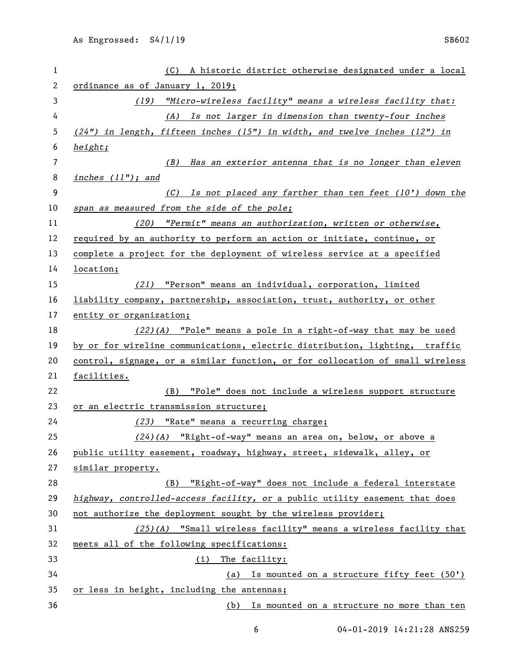| 1  | (C) A historic district otherwise designated under a local                    |
|----|-------------------------------------------------------------------------------|
| 2  | ordinance as of January 1, 2019;                                              |
| 3  | (19) "Micro-wireless facility" means a wireless facility that:                |
| 4  | (A) Is not larger in dimension than twenty-four inches                        |
| 5  | $(24")$ in length, fifteen inches (15") in width, and twelve inches (12") in  |
| 6  | height;                                                                       |
| 7  | (B) Has an exterior antenna that is no longer than eleven                     |
| 8  | inches $(11")$ ; and                                                          |
| 9  | $(C)$ Is not placed any farther than ten feet (10') down the                  |
| 10 | span as measured from the side of the pole;                                   |
| 11 | (20) "Permit" means an authorization, written or otherwise,                   |
| 12 | required by an authority to perform an action or initiate, continue, or       |
| 13 | complete a project for the deployment of wireless service at a specified      |
| 14 | location;                                                                     |
| 15 | (21) "Person" means an individual, corporation, limited                       |
| 16 | liability company, partnership, association, trust, authority, or other       |
| 17 | entity or organization;                                                       |
| 18 | $(22)(A)$ "Pole" means a pole in a right-of-way that may be used              |
| 19 | by or for wireline communications, electric distribution, lighting, traffic   |
| 20 | control, signage, or a similar function, or for collocation of small wireless |
| 21 | facilities.                                                                   |
| 22 | (B) "Pole" does not include a wireless support structure                      |
| 23 | or an electric transmission structure;                                        |
| 24 | (23) "Rate" means a recurring charge;                                         |
| 25 | $(24)(A)$ "Right-of-way" means an area on, below, or above a                  |
| 26 | public utility easement, roadway, highway, street, sidewalk, alley, or        |
| 27 | similar property.                                                             |
| 28 | (B) "Right-of-way" does not include a federal interstate                      |
| 29 | highway, controlled-access facility, or a public utility easement that does   |
| 30 | not authorize the deployment sought by the wireless provider;                 |
| 31 | $(25)(A)$ "Small wireless facility" means a wireless facility that            |
| 32 | meets all of the following specifications:                                    |
| 33 | (i) The facility:                                                             |
| 34 | (a) Is mounted on a structure fifty feet (50')                                |
| 35 | or less in height, including the antennas;                                    |
| 36 | (b) Is mounted on a structure no more than ten                                |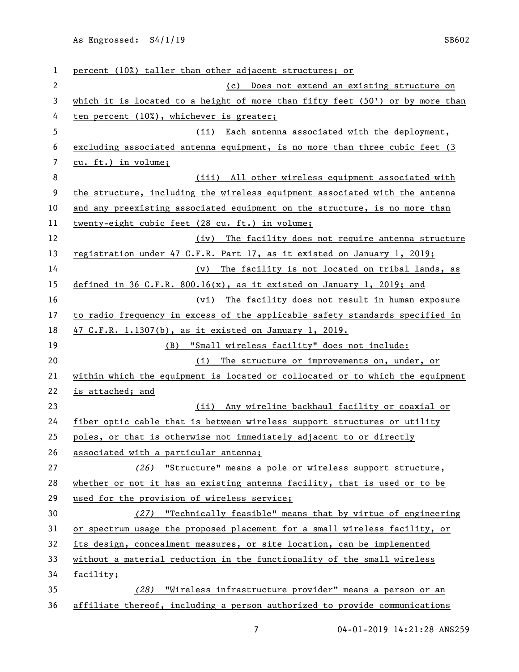| 1            | percent (10%) taller than other adjacent structures; or                         |
|--------------|---------------------------------------------------------------------------------|
| $\mathbf{2}$ | (c) Does not extend an existing structure on                                    |
| 3            | which it is located to a height of more than fifty feet $(50')$ or by more than |
| 4            | ten percent (10%), whichever is greater;                                        |
| 5            | (ii) Each antenna associated with the deployment,                               |
| 6            | excluding associated antenna equipment, is no more than three cubic feet (3     |
| 7            | cu. ft.) in volume;                                                             |
| 8            | (iii) All other wireless equipment associated with                              |
| 9            | the structure, including the wireless equipment associated with the antenna     |
| 10           | and any preexisting associated equipment on the structure, is no more than      |
| 11           | twenty-eight cubic feet (28 cu. ft.) in volume;                                 |
| 12           | (iv) The facility does not require antenna structure                            |
| 13           | registration under 47 C.F.R. Part 17, as it existed on January 1, 2019;         |
| 14           | (v) The facility is not located on tribal lands, as                             |
| 15           | defined in 36 C.F.R. 800.16(x), as it existed on January 1, 2019; and           |
| 16           | (vi) The facility does not result in human exposure                             |
| 17           | to radio frequency in excess of the applicable safety standards specified in    |
| 18           | 47 C.F.R. 1.1307(b), as it existed on January 1, 2019.                          |
| 19           | "Small wireless facility" does not include:<br>(B)                              |
| 20           | (i) The structure or improvements on, under, or                                 |
| 21           | within which the equipment is located or collocated or to which the equipment   |
| 22           | is attached; and                                                                |
| 23           | (ii) Any wireline backhaul facility or coaxial or                               |
| 24           | fiber optic cable that is between wireless support structures or utility        |
| 25           | poles, or that is otherwise not immediately adjacent to or directly             |
| 26           | associated with a particular antenna;                                           |
| 27           | (26) "Structure" means a pole or wireless support structure,                    |
| 28           | whether or not it has an existing antenna facility, that is used or to be       |
| 29           | used for the provision of wireless service;                                     |
| 30           | (27) "Technically feasible" means that by virtue of engineering                 |
| 31           | or spectrum usage the proposed placement for a small wireless facility, or      |
| 32           | its design, concealment measures, or site location, can be implemented          |
| 33           | without a material reduction in the functionality of the small wireless         |
| 34           | facility;                                                                       |
| 35           | (28) "Wireless infrastructure provider" means a person or an                    |
| 36           | affiliate thereof, including a person authorized to provide communications      |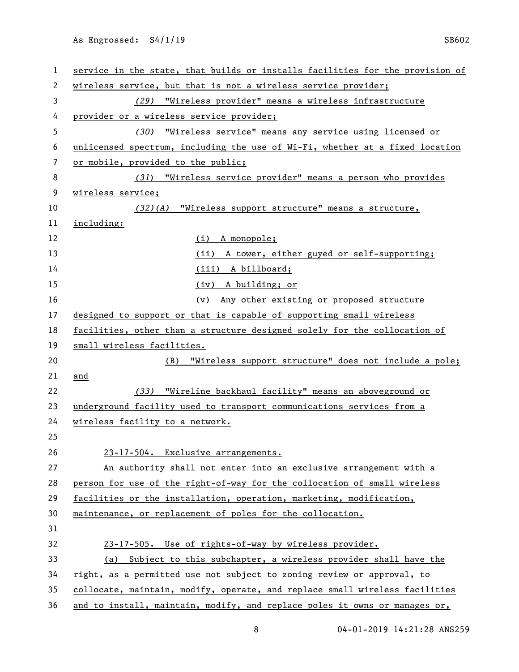| 1  | service in the state, that builds or installs facilities for the provision of |
|----|-------------------------------------------------------------------------------|
| 2  | wireless service, but that is not a wireless service provider;                |
| 3  | (29) "Wireless provider" means a wireless infrastructure                      |
| 4  | provider or a wireless service provider;                                      |
| 5  | (30) "Wireless service" means any service using licensed or                   |
| 6  | unlicensed spectrum, including the use of Wi-Fi, whether at a fixed location  |
| 7  | or mobile, provided to the public;                                            |
| 8  | (31) "Wireless service provider" means a person who provides                  |
| 9  | wireless service;                                                             |
| 10 | (32)(A) "Wireless support structure" means a structure,                       |
| 11 | including:                                                                    |
| 12 | $(i)$ A monopole;                                                             |
| 13 | (ii) A tower, either guyed or self-supporting;                                |
| 14 | (iii) A billboard;                                                            |
| 15 | (iv) A building; or                                                           |
| 16 | (v) Any other existing or proposed structure                                  |
| 17 | designed to support or that is capable of supporting small wireless           |
| 18 | facilities, other than a structure designed solely for the collocation of     |
| 19 | small wireless facilities.                                                    |
| 20 | "Wireless support structure" does not include a pole;<br>(B)                  |
| 21 | and                                                                           |
| 22 | (33) "Wireline backhaul facility" means an aboveground or                     |
| 23 | underground facility used to transport communications services from a         |
| 24 | wireless facility to a network.                                               |
| 25 |                                                                               |
| 26 | 23-17-504. Exclusive arrangements.                                            |
| 27 | An authority shall not enter into an exclusive arrangement with a             |
| 28 | person for use of the right-of-way for the collocation of small wireless      |
| 29 | facilities or the installation, operation, marketing, modification,           |
| 30 | maintenance, or replacement of poles for the collocation.                     |
| 31 |                                                                               |
| 32 | 23-17-505. Use of rights-of-way by wireless provider.                         |
| 33 | (a) Subject to this subchapter, a wireless provider shall have the            |
| 34 | right, as a permitted use not subject to zoning review or approval, to        |
| 35 | collocate, maintain, modify, operate, and replace small wireless facilities   |
| 36 | and to install, maintain, modify, and replace poles it owns or manages or,    |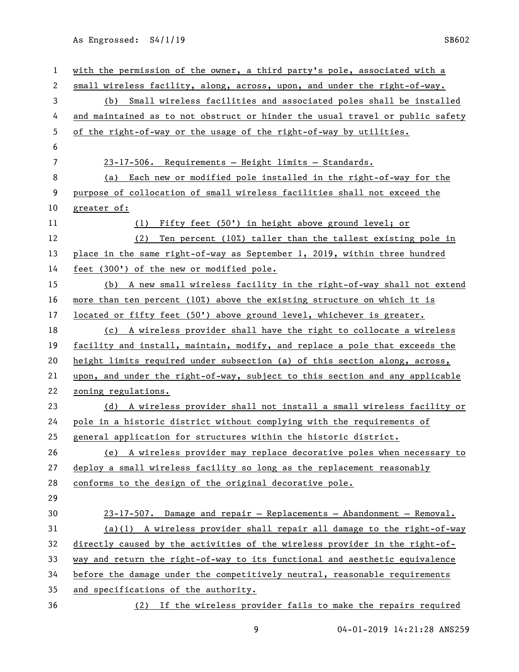| 1              | with the permission of the owner, a third party's pole, associated with a     |
|----------------|-------------------------------------------------------------------------------|
| 2              | small wireless facility, along, across, upon, and under the right-of-way.     |
| 3              | (b) Small wireless facilities and associated poles shall be installed         |
| 4              | and maintained as to not obstruct or hinder the usual travel or public safety |
| 5              | of the right-of-way or the usage of the right-of-way by utilities.            |
| 6              |                                                                               |
| $\overline{7}$ | 23-17-506. Requirements - Height limits - Standards.                          |
| 8              | (a) Each new or modified pole installed in the right-of-way for the           |
| 9              | purpose of collocation of small wireless facilities shall not exceed the      |
| 10             | greater of:                                                                   |
| 11             | (1) Fifty feet (50') in height above ground level; or                         |
| 12             | Ten percent (10%) taller than the tallest existing pole in<br>(2)             |
| 13             | place in the same right-of-way as September 1, 2019, within three hundred     |
| 14             | feet (300') of the new or modified pole.                                      |
| 15             | (b) A new small wireless facility in the right-of-way shall not extend        |
| 16             | more than ten percent (10%) above the existing structure on which it is       |
| 17             | located or fifty feet (50') above ground level, whichever is greater.         |
| 18             | (c) A wireless provider shall have the right to collocate a wireless          |
| 19             | facility and install, maintain, modify, and replace a pole that exceeds the   |
| 20             | height limits required under subsection (a) of this section along, across,    |
| 21             | upon, and under the right-of-way, subject to this section and any applicable  |
| 22             | zoning regulations.                                                           |
| 23             | (d) A wireless provider shall not install a small wireless facility or        |
| 24             | pole in a historic district without complying with the requirements of        |
| 25             | general application for structures within the historic district.              |
| 26             | (e) A wireless provider may replace decorative poles when necessary to        |
| 27             | deploy a small wireless facility so long as the replacement reasonably        |
| 28             | conforms to the design of the original decorative pole.                       |
| 29             |                                                                               |
| 30             | 23-17-507. Damage and repair - Replacements - Abandonment - Removal.          |
| 31             | (a)(1) A wireless provider shall repair all damage to the right-of-way        |
| 32             | directly caused by the activities of the wireless provider in the right-of-   |
| 33             | way and return the right-of-way to its functional and aesthetic equivalence   |
| 34             | before the damage under the competitively neutral, reasonable requirements    |
| 35             | and specifications of the authority.                                          |
| 36             | (2) If the wireless provider fails to make the repairs required               |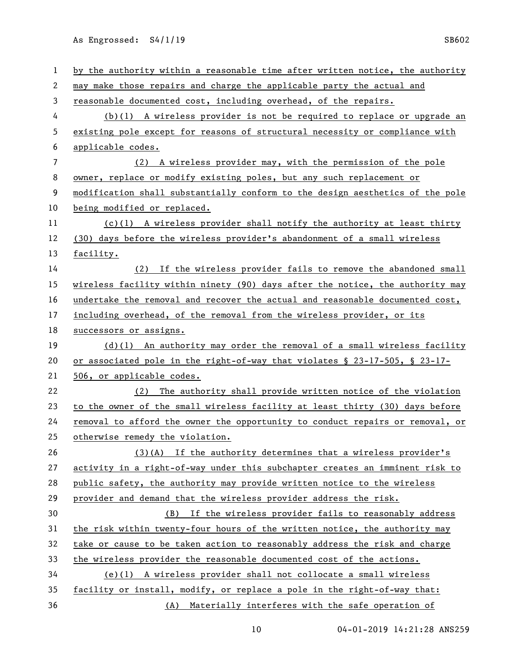| $\mathbf{1}$   | by the authority within a reasonable time after written notice, the authority    |
|----------------|----------------------------------------------------------------------------------|
| 2              | may make those repairs and charge the applicable party the actual and            |
| 3              | reasonable documented cost, including overhead, of the repairs.                  |
| 4              | $(b)(1)$ A wireless provider is not be required to replace or upgrade an         |
| 5              | existing pole except for reasons of structural necessity or compliance with      |
| 6              | applicable codes.                                                                |
| $\overline{7}$ | (2) A wireless provider may, with the permission of the pole                     |
| 8              | owner, replace or modify existing poles, but any such replacement or             |
| 9              | modification shall substantially conform to the design aesthetics of the pole    |
| 10             | being modified or replaced.                                                      |
| 11             | $(c)(1)$ A wireless provider shall notify the authority at least thirty          |
| 12             | (30) days before the wireless provider's abandonment of a small wireless         |
| 13             | facility.                                                                        |
| 14             | (2) If the wireless provider fails to remove the abandoned small                 |
| 15             | wireless facility within ninety (90) days after the notice, the authority may    |
| 16             | undertake the removal and recover the actual and reasonable documented cost,     |
| 17             | including overhead, of the removal from the wireless provider, or its            |
| 18             | successors or assigns.                                                           |
| 19             | $(d)(1)$ An authority may order the removal of a small wireless facility         |
| 20             | or associated pole in the right-of-way that violates $\S$ 23-17-505, $\S$ 23-17- |
| 21             | 506, or applicable codes.                                                        |
| 22             | (2) The authority shall provide written notice of the violation                  |
| 23             | to the owner of the small wireless facility at least thirty (30) days before     |
| 24             | removal to afford the owner the opportunity to conduct repairs or removal, or    |
| 25             | otherwise remedy the violation.                                                  |
| 26             | $(3)(A)$ If the authority determines that a wireless provider's                  |
| 27             | activity in a right-of-way under this subchapter creates an imminent risk to     |
| 28             | public safety, the authority may provide written notice to the wireless          |
| 29             | provider and demand that the wireless provider address the risk.                 |
| 30             | (B) If the wireless provider fails to reasonably address                         |
| 31             | the risk within twenty-four hours of the written notice, the authority may       |
| 32             | take or cause to be taken action to reasonably address the risk and charge       |
| 33             | the wireless provider the reasonable documented cost of the actions.             |
| 34             | (e)(1) A wireless provider shall not collocate a small wireless                  |
| 35             |                                                                                  |
|                | facility or install, modify, or replace a pole in the right-of-way that:         |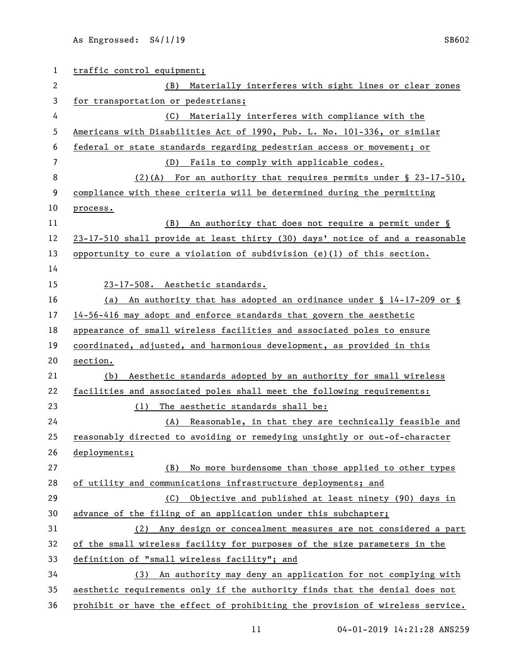| 1  | traffic control equipment;                                                     |
|----|--------------------------------------------------------------------------------|
| 2  | Materially interferes with sight lines or clear zones<br>(B)                   |
| 3  | for transportation or pedestrians;                                             |
| 4  | (C) Materially interferes with compliance with the                             |
| 5  | Americans with Disabilities Act of 1990, Pub. L. No. 101-336, or similar       |
| 6  | federal or state standards regarding pedestrian access or movement; or         |
| 7  | (D) Fails to comply with applicable codes.                                     |
| 8  | $(2)$ (A) For an authority that requires permits under § 23-17-510,            |
| 9  | compliance with these criteria will be determined during the permitting        |
| 10 | process.                                                                       |
| 11 | (B) An authority that does not require a permit under §                        |
| 12 | 23-17-510 shall provide at least thirty (30) days' notice of and a reasonable  |
| 13 | opportunity to cure a violation of subdivision $(e)(1)$ of this section.       |
| 14 |                                                                                |
| 15 | 23-17-508. Aesthetic standards.                                                |
| 16 | An authority that has adopted an ordinance under $\S$ 14-17-209 or $\S$<br>(a) |
| 17 | 14-56-416 may adopt and enforce standards that govern the aesthetic            |
| 18 | appearance of small wireless facilities and associated poles to ensure         |
| 19 | coordinated, adjusted, and harmonious development, as provided in this         |
| 20 | section.                                                                       |
| 21 | Aesthetic standards adopted by an authority for small wireless<br>(b)          |
| 22 | facilities and associated poles shall meet the following requirements:         |
| 23 | The aesthetic standards shall be:<br>(1)                                       |
| 24 | (A) Reasonable, in that they are technically feasible and                      |
| 25 | reasonably directed to avoiding or remedying unsightly or out-of-character     |
| 26 | deployments;                                                                   |
| 27 | No more burdensome than those applied to other types<br>(B)                    |
| 28 | of utility and communications infrastructure deployments; and                  |
| 29 | Objective and published at least ninety (90) days in<br>(C)                    |
| 30 | advance of the filing of an application under this subchapter;                 |
| 31 | Any design or concealment measures are not considered a part<br>(2)            |
| 32 | of the small wireless facility for purposes of the size parameters in the      |
| 33 | definition of "small wireless facility"; and                                   |
| 34 | (3) An authority may deny an application for not complying with                |
| 35 | aesthetic requirements only if the authority finds that the denial does not    |
| 36 | prohibit or have the effect of prohibiting the provision of wireless service.  |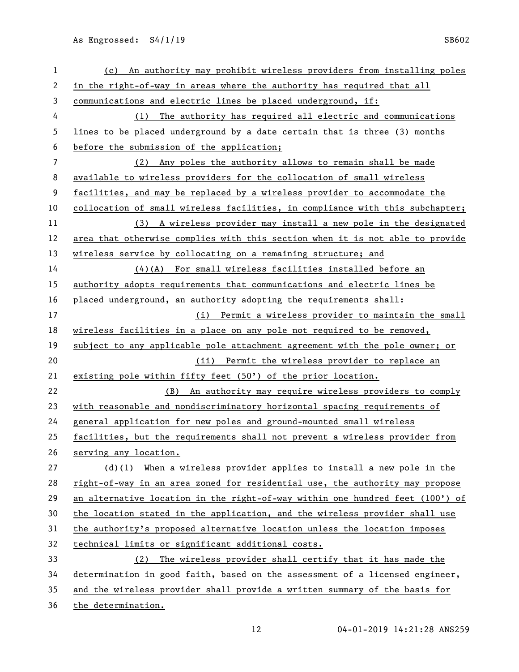| $\mathbf{1}$ | (c) An authority may prohibit wireless providers from installing poles        |
|--------------|-------------------------------------------------------------------------------|
| 2            | in the right-of-way in areas where the authority has required that all        |
| 3            | communications and electric lines be placed underground, if:                  |
| 4            | The authority has required all electric and communications<br>(1)             |
| 5            | lines to be placed underground by a date certain that is three (3) months     |
| 6            | before the submission of the application;                                     |
| 7            | Any poles the authority allows to remain shall be made<br>(2)                 |
| 8            | available to wireless providers for the collocation of small wireless         |
| 9            | facilities, and may be replaced by a wireless provider to accommodate the     |
| 10           | collocation of small wireless facilities, in compliance with this subchapter; |
| 11           | (3) A wireless provider may install a new pole in the designated              |
| 12           | area that otherwise complies with this section when it is not able to provide |
| 13           | wireless service by collocating on a remaining structure; and                 |
| 14           | $(4)(A)$ For small wireless facilities installed before an                    |
| 15           | authority adopts requirements that communications and electric lines be       |
| 16           | placed underground, an authority adopting the requirements shall:             |
| 17           | (i) Permit a wireless provider to maintain the small                          |
| 18           | wireless facilities in a place on any pole not required to be removed,        |
| 19           | subject to any applicable pole attachment agreement with the pole owner; or   |
| 20           | (ii) Permit the wireless provider to replace an                               |
| 21           | existing pole within fifty feet (50') of the prior location.                  |
| 22           | (B) An authority may require wireless providers to comply                     |
| 23           | with reasonable and nondiscriminatory horizontal spacing requirements of      |
| 24           | general application for new poles and ground-mounted small wireless           |
| 25           | facilities, but the requirements shall not prevent a wireless provider from   |
| 26           | serving any location.                                                         |
| 27           | $(d)(1)$ When a wireless provider applies to install a new pole in the        |
| 28           | right-of-way in an area zoned for residential use, the authority may propose  |
| 29           | an alternative location in the right-of-way within one hundred feet (100') of |
| 30           | the location stated in the application, and the wireless provider shall use   |
| 31           | the authority's proposed alternative location unless the location imposes     |
| 32           | technical limits or significant additional costs.                             |
| 33           | (2) The wireless provider shall certify that it has made the                  |
| 34           | determination in good faith, based on the assessment of a licensed engineer,  |
| 35           | and the wireless provider shall provide a written summary of the basis for    |
| 36           | the determination.                                                            |
|              |                                                                               |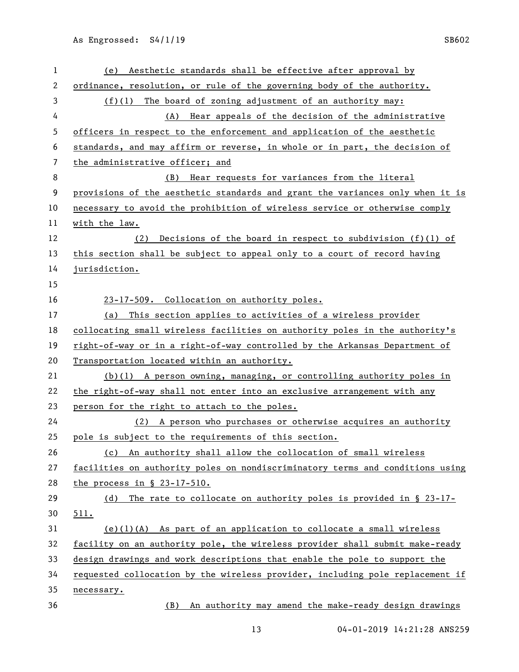| 1  | (e) Aesthetic standards shall be effective after approval by                  |
|----|-------------------------------------------------------------------------------|
| 2  | ordinance, resolution, or rule of the governing body of the authority.        |
| 3  | $(f)(1)$ The board of zoning adjustment of an authority may:                  |
| 4  | (A) Hear appeals of the decision of the administrative                        |
| 5  | officers in respect to the enforcement and application of the aesthetic       |
| 6  | standards, and may affirm or reverse, in whole or in part, the decision of    |
| 7  | the administrative officer; and                                               |
| 8  | Hear requests for variances from the literal<br>(B)                           |
| 9  | provisions of the aesthetic standards and grant the variances only when it is |
| 10 | necessary to avoid the prohibition of wireless service or otherwise comply    |
| 11 | with the law.                                                                 |
| 12 | Decisions of the board in respect to subdivision $(f)(1)$ of<br>(2)           |
| 13 | this section shall be subject to appeal only to a court of record having      |
| 14 | jurisdiction.                                                                 |
| 15 |                                                                               |
| 16 | 23-17-509. Collocation on authority poles.                                    |
| 17 | This section applies to activities of a wireless provider<br>(a)              |
| 18 | collocating small wireless facilities on authority poles in the authority's   |
| 19 | right-of-way or in a right-of-way controlled by the Arkansas Department of    |
| 20 | Transportation located within an authority.                                   |
| 21 | $(b)(1)$ A person owning, managing, or controlling authority poles in         |
| 22 | the right-of-way shall not enter into an exclusive arrangement with any       |
| 23 | person for the right to attach to the poles.                                  |
| 24 | (2) A person who purchases or otherwise acquires an authority                 |
| 25 | pole is subject to the requirements of this section.                          |
| 26 | (c) An authority shall allow the collocation of small wireless                |
| 27 | facilities on authority poles on nondiscriminatory terms and conditions using |
| 28 | the process in $$23-17-510.$                                                  |
| 29 | The rate to collocate on authority poles is provided in $\S$ 23-17-<br>(d)    |
| 30 | 511.                                                                          |
| 31 | $(e)(1)(A)$ As part of an application to collocate a small wireless           |
| 32 | facility on an authority pole, the wireless provider shall submit make-ready  |
| 33 | design drawings and work descriptions that enable the pole to support the     |
| 34 | requested collocation by the wireless provider, including pole replacement if |
| 35 | necessary.                                                                    |
| 36 | An authority may amend the make-ready design drawings<br>(B)                  |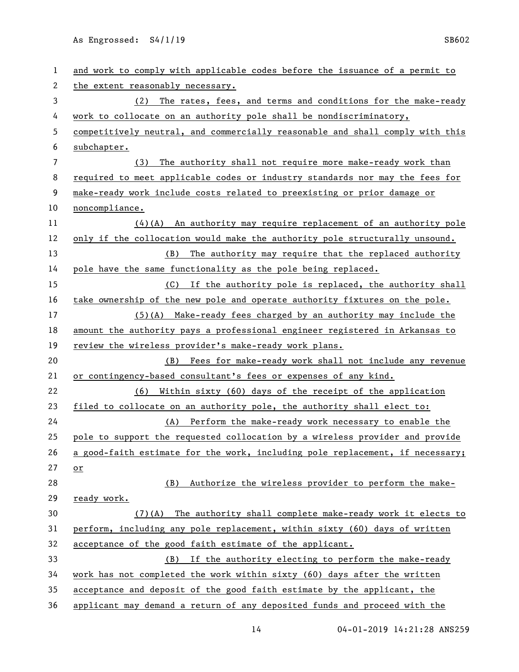| 1  | and work to comply with applicable codes before the issuance of a permit to   |
|----|-------------------------------------------------------------------------------|
| 2  | the extent reasonably necessary.                                              |
| 3  | The rates, fees, and terms and conditions for the make-ready<br>(2)           |
| 4  | work to collocate on an authority pole shall be nondiscriminatory,            |
| 5  | competitively neutral, and commercially reasonable and shall comply with this |
| 6  | subchapter.                                                                   |
| 7  | The authority shall not require more make-ready work than<br>(3)              |
| 8  | required to meet applicable codes or industry standards nor may the fees for  |
| 9  | make-ready work include costs related to preexisting or prior damage or       |
| 10 | noncompliance.                                                                |
| 11 | $(4)$ (A) An authority may require replacement of an authority pole           |
| 12 | only if the collocation would make the authority pole structurally unsound.   |
| 13 | The authority may require that the replaced authority<br>(B)                  |
| 14 | pole have the same functionality as the pole being replaced.                  |
| 15 | (C) If the authority pole is replaced, the authority shall                    |
| 16 | take ownership of the new pole and operate authority fixtures on the pole.    |
| 17 | $(5)(A)$ Make-ready fees charged by an authority may include the              |
| 18 | amount the authority pays a professional engineer registered in Arkansas to   |
| 19 | review the wireless provider's make-ready work plans.                         |
| 20 | (B) Fees for make-ready work shall not include any revenue                    |
| 21 | or contingency-based consultant's fees or expenses of any kind.               |
| 22 | (6) Within sixty (60) days of the receipt of the application                  |
| 23 | filed to collocate on an authority pole, the authority shall elect to:        |
| 24 | (A) Perform the make-ready work necessary to enable the                       |
| 25 | pole to support the requested collocation by a wireless provider and provide  |
| 26 | a good-faith estimate for the work, including pole replacement, if necessary; |
| 27 | $or$                                                                          |
| 28 | Authorize the wireless provider to perform the make-<br>(B)                   |
| 29 | ready work.                                                                   |
| 30 | (7)(A) The authority shall complete make-ready work it elects to              |
| 31 | perform, including any pole replacement, within sixty (60) days of written    |
| 32 | acceptance of the good faith estimate of the applicant.                       |
| 33 | If the authority electing to perform the make-ready<br>(B)                    |
| 34 |                                                                               |
|    | work has not completed the work within sixty (60) days after the written      |
| 35 | acceptance and deposit of the good faith estimate by the applicant, the       |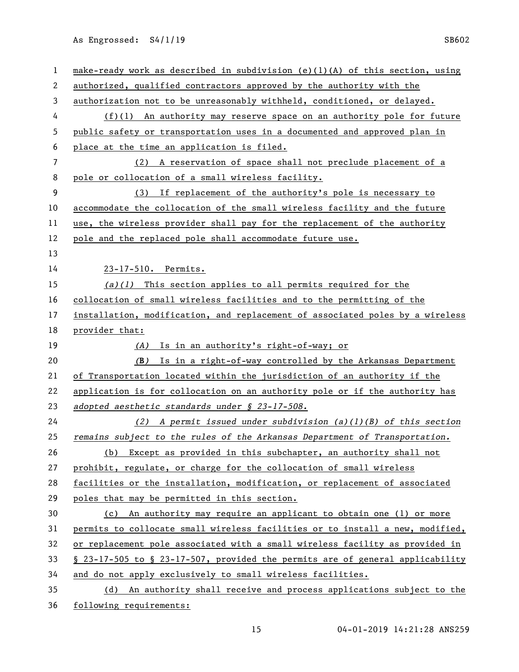| $\mathbf{1}$             | make-ready work as described in subdivision (e)(1)(A) of this section, using  |
|--------------------------|-------------------------------------------------------------------------------|
| 2                        | authorized, qualified contractors approved by the authority with the          |
| 3                        | authorization not to be unreasonably withheld, conditioned, or delayed.       |
| 4                        | $(f)(1)$ An authority may reserve space on an authority pole for future       |
| 5                        | public safety or transportation uses in a documented and approved plan in     |
| 6                        | place at the time an application is filed.                                    |
| $\overline{\phantom{a}}$ | (2) A reservation of space shall not preclude placement of a                  |
| 8                        | pole or collocation of a small wireless facility.                             |
| 9                        | If replacement of the authority's pole is necessary to<br>(3)                 |
| 10                       | accommodate the collocation of the small wireless facility and the future     |
| 11                       | use, the wireless provider shall pay for the replacement of the authority     |
| 12                       | pole and the replaced pole shall accommodate future use.                      |
| 13                       |                                                                               |
| 14                       | 23-17-510. Permits.                                                           |
| 15                       | $(a)(1)$ This section applies to all permits required for the                 |
| 16                       | collocation of small wireless facilities and to the permitting of the         |
| 17                       | installation, modification, and replacement of associated poles by a wireless |
| 18                       | provider that:                                                                |
| 19                       | Is in an authority's right-of-way; or<br>(A)                                  |
| 20                       | Is in a right-of-way controlled by the Arkansas Department<br>(B)             |
| 21                       | of Transportation located within the jurisdiction of an authority if the      |
| 22                       | application is for collocation on an authority pole or if the authority has   |
| 23                       | adopted aesthetic standards under § 23-17-508.                                |
| 24                       | (2) A permit issued under subdivision (a)(1)(B) of this section               |
| 25                       | remains subject to the rules of the Arkansas Department of Transportation.    |
| 26                       | Except as provided in this subchapter, an authority shall not<br>(b)          |
| 27                       | prohibit, regulate, or charge for the collocation of small wireless           |
| 28                       | facilities or the installation, modification, or replacement of associated    |
| 29                       | poles that may be permitted in this section.                                  |
| 30                       | An authority may require an applicant to obtain one (1) or more<br>(c)        |
| 31                       | permits to collocate small wireless facilities or to install a new, modified, |
| 32                       | or replacement pole associated with a small wireless facility as provided in  |
| 33                       | § 23-17-505 to § 23-17-507, provided the permits are of general applicability |
| 34                       | and do not apply exclusively to small wireless facilities.                    |
| 35                       | An authority shall receive and process applications subject to the<br>(d)     |
| 36                       |                                                                               |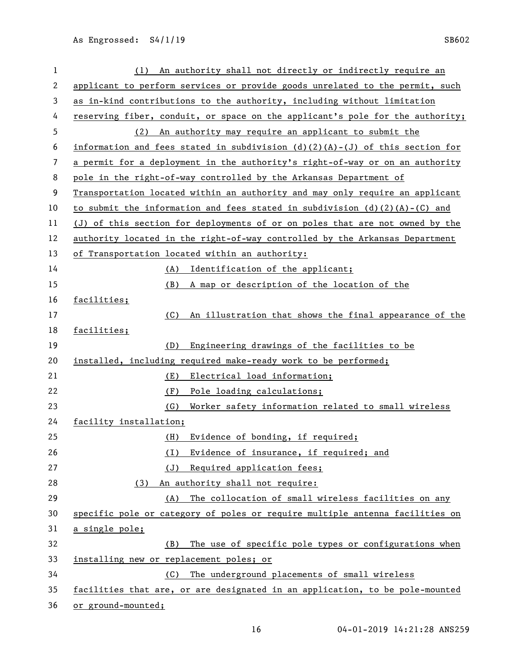| 1  | (1) An authority shall not directly or indirectly require an                   |
|----|--------------------------------------------------------------------------------|
| 2  | applicant to perform services or provide goods unrelated to the permit, such   |
| 3  | as in-kind contributions to the authority, including without limitation        |
| 4  | reserving fiber, conduit, or space on the applicant's pole for the authority;  |
| 5  | (2) An authority may require an applicant to submit the                        |
| 6  | information and fees stated in subdivision $(d)(2)(A)-(J)$ of this section for |
| 7  | a permit for a deployment in the authority's right-of-way or on an authority   |
| 8  | pole in the right-of-way controlled by the Arkansas Department of              |
| 9  | Transportation located within an authority and may only require an applicant   |
| 10 | to submit the information and fees stated in subdivision $(d)(2)(A)-(C)$ and   |
| 11 | (J) of this section for deployments of or on poles that are not owned by the   |
| 12 | authority located in the right-of-way controlled by the Arkansas Department    |
| 13 | of Transportation located within an authority:                                 |
| 14 | (A) Identification of the applicant;                                           |
| 15 | A map or description of the location of the<br>(B)                             |
| 16 | facilities;                                                                    |
| 17 | (C)<br>An illustration that shows the final appearance of the                  |
| 18 | facilities;                                                                    |
| 19 | Engineering drawings of the facilities to be<br>(D)                            |
| 20 | installed, including required make-ready work to be performed;                 |
| 21 | (E)<br>Electrical load information;                                            |
| 22 | (F)<br>Pole loading calculations;                                              |
| 23 | (G)<br>Worker safety information related to small wireless                     |
| 24 | facility installation;                                                         |
| 25 | Evidence of bonding, if required;<br>(H)                                       |
| 26 | Evidence of insurance, if required; and<br>(1)                                 |
| 27 | (J)<br>Required application fees;                                              |
| 28 | An authority shall not require:<br>(3)                                         |
| 29 | The collocation of small wireless facilities on any<br>(A)                     |
| 30 | specific pole or category of poles or require multiple antenna facilities on   |
| 31 | a single pole;                                                                 |
| 32 |                                                                                |
|    | The use of specific pole types or configurations when<br>(B)                   |
| 33 | installing new or replacement poles; or                                        |
| 34 | The underground placements of small wireless<br>(C)                            |
| 35 | facilities that are, or are designated in an application, to be pole-mounted   |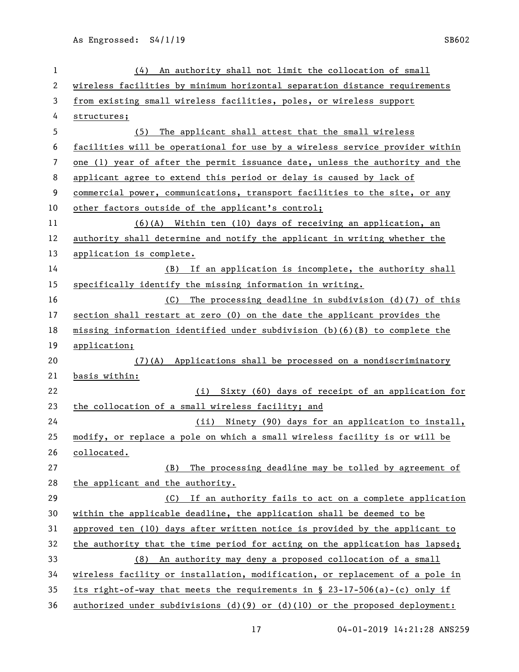| 1  | An authority shall not limit the collocation of small<br>(4)                    |
|----|---------------------------------------------------------------------------------|
| 2  | wireless facilities by minimum horizontal separation distance requirements      |
| 3  | from existing small wireless facilities, poles, or wireless support             |
| 4  | structures;                                                                     |
| 5  | The applicant shall attest that the small wireless<br>(5)                       |
| 6  | facilities will be operational for use by a wireless service provider within    |
| 7  | one (1) year of after the permit issuance date, unless the authority and the    |
| 8  | applicant agree to extend this period or delay is caused by lack of             |
| 9  | commercial power, communications, transport facilities to the site, or any      |
| 10 | other factors outside of the applicant's control;                               |
| 11 | $(6)(A)$ Within ten (10) days of receiving an application, an                   |
| 12 | authority shall determine and notify the applicant in writing whether the       |
| 13 | application is complete.                                                        |
| 14 | (B) If an application is incomplete, the authority shall                        |
| 15 | specifically identify the missing information in writing.                       |
| 16 | (C) The processing deadline in subdivision $(d)(7)$ of this                     |
| 17 | section shall restart at zero (0) on the date the applicant provides the        |
| 18 | missing information identified under subdivision $(b)(6)(B)$ to complete the    |
| 19 | application;                                                                    |
| 20 | $(7)$ (A) Applications shall be processed on a nondiscriminatory                |
| 21 | basis within:                                                                   |
| 22 | (i) Sixty (60) days of receipt of an application for                            |
| 23 | the collocation of a small wireless facility; and                               |
| 24 | (ii) Ninety (90) days for an application to install,                            |
| 25 | modify, or replace a pole on which a small wireless facility is or will be      |
| 26 | collocated.                                                                     |
| 27 | The processing deadline may be tolled by agreement of<br>(B)                    |
| 28 | the applicant and the authority.                                                |
| 29 | (C) If an authority fails to act on a complete application                      |
| 30 | within the applicable deadline, the application shall be deemed to be           |
| 31 | approved ten (10) days after written notice is provided by the applicant to     |
| 32 | the authority that the time period for acting on the application has lapsed;    |
| 33 | An authority may deny a proposed collocation of a small<br>(8)                  |
| 34 | wireless facility or installation, modification, or replacement of a pole in    |
| 35 | its right-of-way that meets the requirements in $\S$ 23-17-506(a)-(c) only if   |
| 36 | authorized under subdivisions $(d)(9)$ or $(d)(10)$ or the proposed deployment: |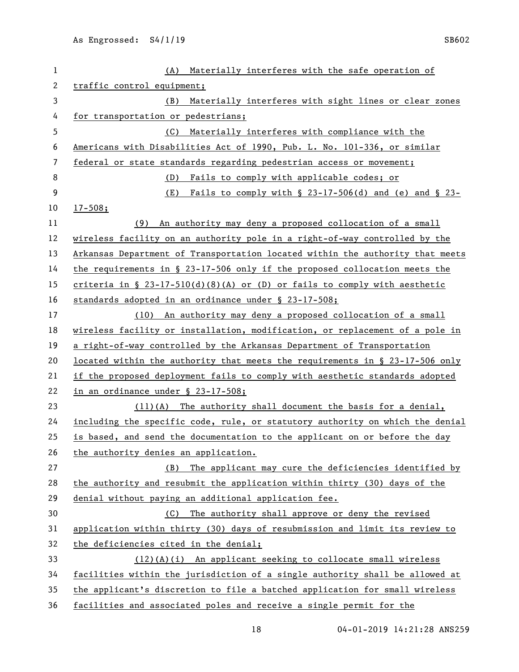| $\mathbf{1}$ | (A) Materially interferes with the safe operation of                          |
|--------------|-------------------------------------------------------------------------------|
| $\mathbf{2}$ | traffic control equipment;                                                    |
| 3            | (B)<br>Materially interferes with sight lines or clear zones                  |
| 4            | for transportation or pedestrians;                                            |
| 5            | Materially interferes with compliance with the<br>(C)                         |
| 6            | Americans with Disabilities Act of 1990, Pub. L. No. 101-336, or similar      |
| 7            | federal or state standards regarding pedestrian access or movement;           |
| 8            | (D)<br>Fails to comply with applicable codes; or                              |
| 9            | Fails to comply with $\S$ 23-17-506(d) and (e) and $\S$ 23-<br>(E)            |
| 10           | $17 - 508;$                                                                   |
| 11           | An authority may deny a proposed collocation of a small<br>(9)                |
| 12           | wireless facility on an authority pole in a right-of-way controlled by the    |
| 13           | Arkansas Department of Transportation located within the authority that meets |
| 14           | the requirements in $\S$ 23-17-506 only if the proposed collocation meets the |
| 15           | criteria in § 23-17-510(d)(8)(A) or (D) or fails to comply with aesthetic     |
| 16           | standards adopted in an ordinance under § 23-17-508;                          |
| 17           | (10) An authority may deny a proposed collocation of a small                  |
| 18           | wireless facility or installation, modification, or replacement of a pole in  |
| 19           | a right-of-way controlled by the Arkansas Department of Transportation        |
| 20           | located within the authority that meets the requirements in § 23-17-506 only  |
| 21           | if the proposed deployment fails to comply with aesthetic standards adopted   |
| 22           | in an ordinance under $$ 23-17-508;$                                          |
| 23           | $(11)(A)$ The authority shall document the basis for a denial,                |
| 24           | including the specific code, rule, or statutory authority on which the denial |
| 25           | is based, and send the documentation to the applicant on or before the day    |
| 26           | the authority denies an application.                                          |
| 27           | (B) The applicant may cure the deficiencies identified by                     |
| 28           | the authority and resubmit the application within thirty (30) days of the     |
| 29           | denial without paying an additional application fee.                          |
| 30           | (C) The authority shall approve or deny the revised                           |
| 31           | application within thirty (30) days of resubmission and limit its review to   |
| 32           | the deficiencies cited in the denial;                                         |
| 33           | $(12)(A)(i)$ An applicant seeking to collocate small wireless                 |
| 34           | facilities within the jurisdiction of a single authority shall be allowed at  |
| 35           | the applicant's discretion to file a batched application for small wireless   |
| 36           | facilities and associated poles and receive a single permit for the           |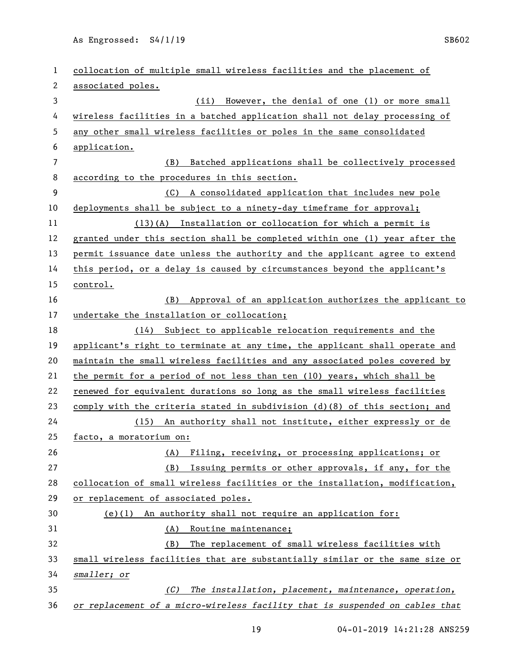| 1              | collocation of multiple small wireless facilities and the placement of       |
|----------------|------------------------------------------------------------------------------|
| $\mathbf{2}$   | associated poles.                                                            |
| 3              | (ii) However, the denial of one (1) or more small                            |
| 4              | wireless facilities in a batched application shall not delay processing of   |
| 5              | any other small wireless facilities or poles in the same consolidated        |
| 6              | application.                                                                 |
| $\overline{7}$ | (B) Batched applications shall be collectively processed                     |
| 8              | according to the procedures in this section.                                 |
| 9              | (C) A consolidated application that includes new pole                        |
| 10             | deployments shall be subject to a ninety-day timeframe for approval;         |
| 11             | $(13)(A)$ Installation or collocation for which a permit is                  |
| 12             | granted under this section shall be completed within one (1) year after the  |
| 13             | permit issuance date unless the authority and the applicant agree to extend  |
| 14             | this period, or a delay is caused by circumstances beyond the applicant's    |
| 15             | control.                                                                     |
| 16             | (B) Approval of an application authorizes the applicant to                   |
| 17             | undertake the installation or collocation;                                   |
| 18             | (14) Subject to applicable relocation requirements and the                   |
| 19             | applicant's right to terminate at any time, the applicant shall operate and  |
| 20             | maintain the small wireless facilities and any associated poles covered by   |
| 21             | the permit for a period of not less than ten (10) years, which shall be      |
| 22             | renewed for equivalent durations so long as the small wireless facilities    |
| 23             | comply with the criteria stated in subdivision $(d)(8)$ of this section; and |
| 24             | (15) An authority shall not institute, either expressly or de                |
| 25             | facto, a moratorium on:                                                      |
| 26             | Filing, receiving, or processing applications; or<br>(A)                     |
| 27             | (B)<br>Issuing permits or other approvals, if any, for the                   |
| 28             | collocation of small wireless facilities or the installation, modification,  |
| 29             | or replacement of associated poles.                                          |
| 30             | $(e)(1)$ An authority shall not require an application for:                  |
| 31             | Routine maintenance;<br>(A)                                                  |
| 32             | The replacement of small wireless facilities with<br>(B)                     |
| 33             | small wireless facilities that are substantially similar or the same size or |
| 34             | smaller; or                                                                  |
| 35             | (C)<br>The installation, placement, maintenance, operation,                  |
| 36             | or replacement of a micro-wireless facility that is suspended on cables that |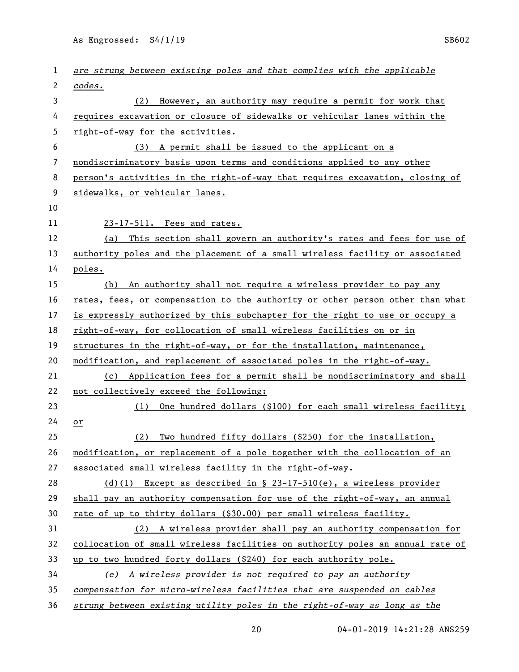| 1  | are strung between existing poles and that complies with the applicable       |
|----|-------------------------------------------------------------------------------|
| 2  | codes.                                                                        |
| 3  | (2) However, an authority may require a permit for work that                  |
| 4  | requires excavation or closure of sidewalks or vehicular lanes within the     |
| 5  | right-of-way for the activities.                                              |
| 6  | (3) A permit shall be issued to the applicant on a                            |
| 7  | nondiscriminatory basis upon terms and conditions applied to any other        |
| 8  | person's activities in the right-of-way that requires excavation, closing of  |
| 9  | sidewalks, or vehicular lanes.                                                |
| 10 |                                                                               |
| 11 | 23-17-511. Fees and rates.                                                    |
| 12 | This section shall govern an authority's rates and fees for use of<br>(a)     |
| 13 | authority poles and the placement of a small wireless facility or associated  |
| 14 | poles.                                                                        |
| 15 | An authority shall not require a wireless provider to pay any<br>(b)          |
| 16 | rates, fees, or compensation to the authority or other person other than what |
| 17 | is expressly authorized by this subchapter for the right to use or occupy a   |
| 18 | right-of-way, for collocation of small wireless facilities on or in           |
| 19 | structures in the right-of-way, or for the installation, maintenance,         |
| 20 | modification, and replacement of associated poles in the right-of-way.        |
| 21 | (c) Application fees for a permit shall be nondiscriminatory and shall        |
| 22 | not collectively exceed the following:                                        |
| 23 | One hundred dollars (\$100) for each small wireless facility;<br>(1)          |
| 24 | or                                                                            |
| 25 | Two hundred fifty dollars (\$250) for the installation,<br>(2)                |
| 26 | modification, or replacement of a pole together with the collocation of an    |
| 27 | associated small wireless facility in the right-of-way.                       |
| 28 | (d)(l) Except as described in $\S$ 23-17-510(e), a wireless provider          |
| 29 | shall pay an authority compensation for use of the right-of-way, an annual    |
| 30 | rate of up to thirty dollars (\$30.00) per small wireless facility.           |
| 31 | (2) A wireless provider shall pay an authority compensation for               |
| 32 | collocation of small wireless facilities on authority poles an annual rate of |
| 33 | up to two hundred forty dollars (\$240) for each authority pole.              |
| 34 | (e) A wireless provider is not required to pay an authority                   |
| 35 | compensation for micro-wireless facilities that are suspended on cables       |
| 36 | strung between existing utility poles in the right-of-way as long as the      |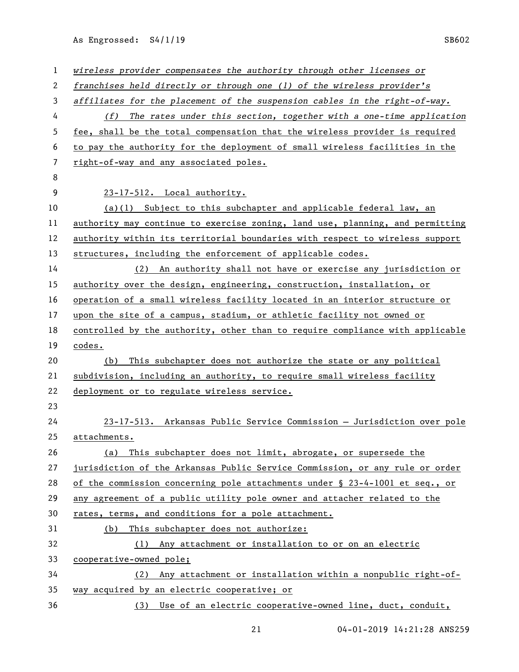| 1  | wireless provider compensates the authority through other licenses or         |
|----|-------------------------------------------------------------------------------|
| 2  | franchises held directly or through one (1) of the wireless provider's        |
| 3  | affiliates for the placement of the suspension cables in the right-of-way.    |
| 4  | The rates under this section, together with a one-time application<br>(f)     |
| 5  | fee, shall be the total compensation that the wireless provider is required   |
| 6  | to pay the authority for the deployment of small wireless facilities in the   |
| 7  | right-of-way and any associated poles.                                        |
| 8  |                                                                               |
| 9  | 23-17-512. Local authority.                                                   |
| 10 | $(a)(1)$ Subject to this subchapter and applicable federal law, an            |
| 11 | authority may continue to exercise zoning, land use, planning, and permitting |
| 12 | authority within its territorial boundaries with respect to wireless support  |
| 13 | structures, including the enforcement of applicable codes.                    |
| 14 | (2) An authority shall not have or exercise any jurisdiction or               |
| 15 | authority over the design, engineering, construction, installation, or        |
| 16 | operation of a small wireless facility located in an interior structure or    |
| 17 | upon the site of a campus, stadium, or athletic facility not owned or         |
| 18 | controlled by the authority, other than to require compliance with applicable |
| 19 | codes.                                                                        |
| 20 | (b) This subchapter does not authorize the state or any political             |
| 21 | subdivision, including an authority, to require small wireless facility       |
| 22 | deployment or to regulate wireless service.                                   |
| 23 |                                                                               |
| 24 | 23-17-513. Arkansas Public Service Commission - Jurisdiction over pole        |
| 25 | attachments.                                                                  |
| 26 | (a) This subchapter does not limit, abrogate, or supersede the                |
| 27 | jurisdiction of the Arkansas Public Service Commission, or any rule or order  |
| 28 | of the commission concerning pole attachments under § 23-4-1001 et seq., or   |
| 29 | any agreement of a public utility pole owner and attacher related to the      |
| 30 | rates, terms, and conditions for a pole attachment.                           |
| 31 | This subchapter does not authorize:<br>(b)                                    |
| 32 | (1) Any attachment or installation to or on an electric                       |
| 33 | cooperative-owned pole;                                                       |
| 34 | (2) Any attachment or installation within a nonpublic right-of-               |
| 35 | way acquired by an electric cooperative; or                                   |
| 36 | (3) Use of an electric cooperative-owned line, duct, conduit,                 |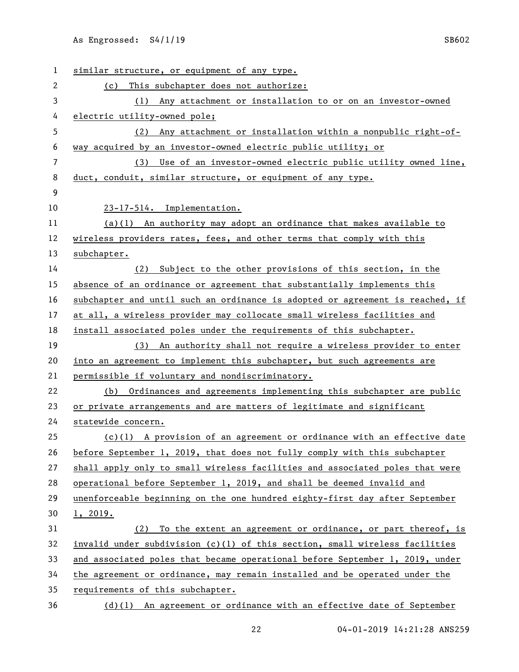| 1              | similar structure, or equipment of any type.                                  |
|----------------|-------------------------------------------------------------------------------|
| 2              | This subchapter does not authorize:<br>(c)                                    |
| 3              | (1) Any attachment or installation to or on an investor-owned                 |
| 4              | electric utility-owned pole;                                                  |
| 5              | (2) Any attachment or installation within a nonpublic right-of-               |
| 6              | way acquired by an investor-owned electric public utility; or                 |
| $\overline{7}$ | (3) Use of an investor-owned electric public utility owned line,              |
| 8              | duct, conduit, similar structure, or equipment of any type.                   |
| 9              |                                                                               |
| 10             | 23-17-514. Implementation.                                                    |
| 11             | $(a)(1)$ An authority may adopt an ordinance that makes available to          |
| 12             | wireless providers rates, fees, and other terms that comply with this         |
| 13             | subchapter.                                                                   |
| 14             | (2) Subject to the other provisions of this section, in the                   |
| 15             | absence of an ordinance or agreement that substantially implements this       |
| 16             | subchapter and until such an ordinance is adopted or agreement is reached, if |
| 17             | at all, a wireless provider may collocate small wireless facilities and       |
| 18             | install associated poles under the requirements of this subchapter.           |
| 19             | (3) An authority shall not require a wireless provider to enter               |
| 20             | into an agreement to implement this subchapter, but such agreements are       |
| 21             | permissible if voluntary and nondiscriminatory.                               |
| 22             | (b) Ordinances and agreements implementing this subchapter are public         |
| 23             | or private arrangements and are matters of legitimate and significant         |
| 24             | statewide concern.                                                            |
| 25             | $(c)(1)$ A provision of an agreement or ordinance with an effective date      |
| 26             | before September 1, 2019, that does not fully comply with this subchapter     |
| 27             | shall apply only to small wireless facilities and associated poles that were  |
| 28             | operational before September 1, 2019, and shall be deemed invalid and         |
| 29             | unenforceable beginning on the one hundred eighty-first day after September   |
| 30             | 1, 2019.                                                                      |
| 31             | (2) To the extent an agreement or ordinance, or part thereof, is              |
| 32             | invalid under subdivision $(c)(1)$ of this section, small wireless facilities |
| 33             | and associated poles that became operational before September 1, 2019, under  |
| 34             | the agreement or ordinance, may remain installed and be operated under the    |
| 35             | requirements of this subchapter.                                              |
| 36             | $(d)(1)$ An agreement or ordinance with an effective date of September        |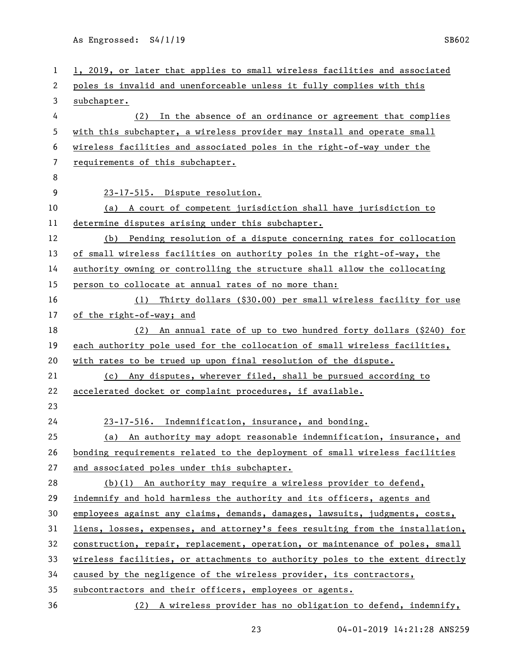| 1  | 1, 2019, or later that applies to small wireless facilities and associated    |
|----|-------------------------------------------------------------------------------|
| 2  | poles is invalid and unenforceable unless it fully complies with this         |
| 3  | subchapter.                                                                   |
| 4  | In the absence of an ordinance or agreement that complies<br>(2)              |
| 5  | with this subchapter, a wireless provider may install and operate small       |
| 6  | wireless facilities and associated poles in the right-of-way under the        |
| 7  | requirements of this subchapter.                                              |
| 8  |                                                                               |
| 9  | 23-17-515. Dispute resolution.                                                |
| 10 | (a) A court of competent jurisdiction shall have jurisdiction to              |
| 11 | determine disputes arising under this subchapter.                             |
| 12 | (b) Pending resolution of a dispute concerning rates for collocation          |
| 13 | of small wireless facilities on authority poles in the right-of-way, the      |
| 14 | authority owning or controlling the structure shall allow the collocating     |
| 15 | person to collocate at annual rates of no more than:                          |
| 16 | (1) Thirty dollars (\$30.00) per small wireless facility for use              |
| 17 | of the right-of-way; and                                                      |
| 18 | (2) An annual rate of up to two hundred forty dollars (\$240) for             |
| 19 | each authority pole used for the collocation of small wireless facilities,    |
| 20 | with rates to be trued up upon final resolution of the dispute.               |
| 21 | Any disputes, wherever filed, shall be pursued according to<br>(c)            |
| 22 | accelerated docket or complaint procedures, if available.                     |
| 23 |                                                                               |
| 24 | 23-17-516. Indemnification, insurance, and bonding.                           |
| 25 | (a) An authority may adopt reasonable indemnification, insurance, and         |
| 26 | bonding requirements related to the deployment of small wireless facilities   |
| 27 | and associated poles under this subchapter.                                   |
| 28 | $(b)(1)$ An authority may require a wireless provider to defend,              |
| 29 | indemnify and hold harmless the authority and its officers, agents and        |
| 30 | employees against any claims, demands, damages, lawsuits, judgments, costs,   |
| 31 | liens, losses, expenses, and attorney's fees resulting from the installation, |
| 32 | construction, repair, replacement, operation, or maintenance of poles, small  |
| 33 | wireless facilities, or attachments to authority poles to the extent directly |
| 34 | caused by the negligence of the wireless provider, its contractors,           |
| 35 | subcontractors and their officers, employees or agents.                       |
| 36 | (2) A wireless provider has no obligation to defend, indemnify,               |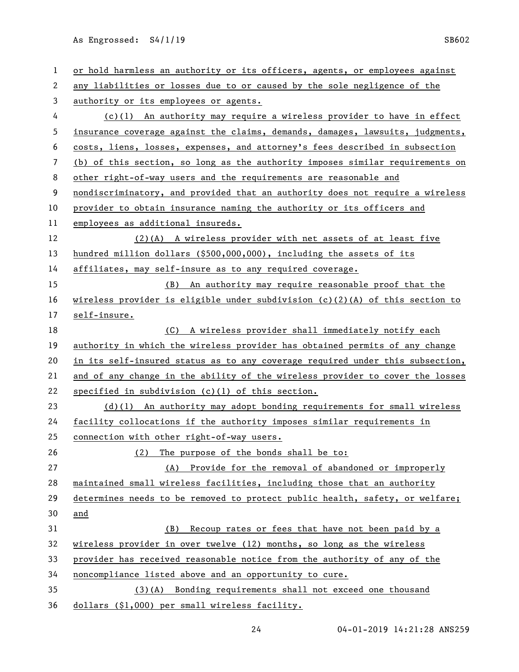| $\mathbf{1}$             | or hold harmless an authority or its officers, agents, or employees against    |
|--------------------------|--------------------------------------------------------------------------------|
| 2                        | any liabilities or losses due to or caused by the sole negligence of the       |
| 3                        | authority or its employees or agents.                                          |
| 4                        | $(c)(1)$ An authority may require a wireless provider to have in effect        |
| 5                        | insurance coverage against the claims, demands, damages, lawsuits, judgments,  |
| 6                        | costs, liens, losses, expenses, and attorney's fees described in subsection    |
| $\overline{\phantom{a}}$ | (b) of this section, so long as the authority imposes similar requirements on  |
| 8                        | other right-of-way users and the requirements are reasonable and               |
| 9                        | nondiscriminatory, and provided that an authority does not require a wireless  |
| 10                       | provider to obtain insurance naming the authority or its officers and          |
| 11                       | employees as additional insureds.                                              |
| 12                       | $(2)(A)$ A wireless provider with net assets of at least five                  |
| 13                       | hundred million dollars (\$500,000,000), including the assets of its           |
| 14                       | affiliates, may self-insure as to any required coverage.                       |
| 15                       | (B) An authority may require reasonable proof that the                         |
| 16                       | wireless provider is eligible under subdivision $(c)(2)(A)$ of this section to |
| 17                       | self-insure.                                                                   |
| 18                       | (C) A wireless provider shall immediately notify each                          |
| 19                       | authority in which the wireless provider has obtained permits of any change    |
| 20                       | in its self-insured status as to any coverage required under this subsection,  |
| 21                       | and of any change in the ability of the wireless provider to cover the losses  |
| 22                       | specified in subdivision $(c)(1)$ of this section.                             |
| 23                       | $(d)(1)$ An authority may adopt bonding requirements for small wireless        |
| 24                       | facility collocations if the authority imposes similar requirements in         |
| 25                       | connection with other right-of-way users.                                      |
| 26                       | (2)<br>The purpose of the bonds shall be to:                                   |
| 27                       | (A) Provide for the removal of abandoned or improperly                         |
| 28                       | maintained small wireless facilities, including those that an authority        |
| 29                       | determines needs to be removed to protect public health, safety, or welfare;   |
| 30                       | and                                                                            |
| 31                       | (B) Recoup rates or fees that have not been paid by a                          |
| 32                       | wireless provider in over twelve (12) months, so long as the wireless          |
| 33                       | provider has received reasonable notice from the authority of any of the       |
| 34                       | noncompliance listed above and an opportunity to cure.                         |
| 35                       | $(3)(A)$ Bonding requirements shall not exceed one thousand                    |
| 36                       | dollars (\$1,000) per small wireless facility.                                 |